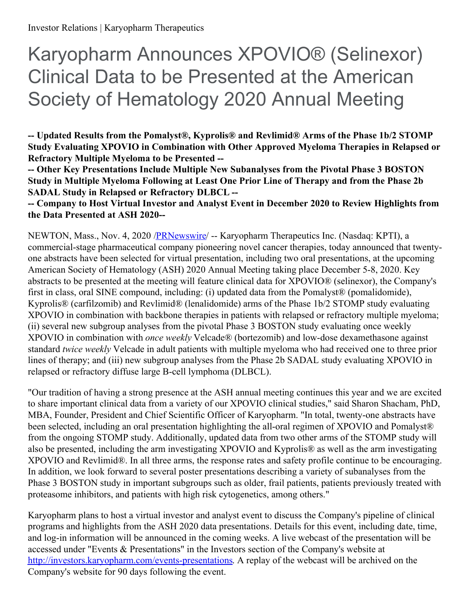# Karyopharm Announces XPOVIO® (Selinexor) Clinical Data to be Presented at the American Society of Hematology 2020 Annual Meeting

**-- Updated Results from the Pomalyst®, Kyprolis® and Revlimid® Arms of the Phase 1b/2 STOMP Study Evaluating XPOVIO in Combination with Other Approved Myeloma Therapies in Relapsed or Refractory Multiple Myeloma to be Presented --**

**-- Other Key Presentations Include Multiple New Subanalyses from the Pivotal Phase 3 BOSTON Study in Multiple Myeloma Following at Least One Prior Line of Therapy and from the Phase 2b SADAL Study in Relapsed or Refractory DLBCL --**

**-- Company to Host Virtual Investor and Analyst Event in December 2020 to Review Highlights from the Data Presented at ASH 2020--**

NEWTON, Mass., Nov. 4, 2020 [/PRNewswire](http://www.prnewswire.com/)/ -- Karyopharm Therapeutics Inc. (Nasdaq: KPTI), a commercial-stage pharmaceutical company pioneering novel cancer therapies, today announced that twentyone abstracts have been selected for virtual presentation, including two oral presentations, at the upcoming American Society of Hematology (ASH) 2020 Annual Meeting taking place December 5-8, 2020. Key abstracts to be presented at the meeting will feature clinical data for XPOVIO® (selinexor), the Company's first in class, oral SINE compound, including: (i) updated data from the Pomalyst® (pomalidomide), Kyprolis® (carfilzomib) and Revlimid® (lenalidomide) arms of the Phase 1b/2 STOMP study evaluating XPOVIO in combination with backbone therapies in patients with relapsed or refractory multiple myeloma; (ii) several new subgroup analyses from the pivotal Phase 3 BOSTON study evaluating once weekly XPOVIO in combination with *once weekly* Velcade® (bortezomib) and low-dose dexamethasone against standard *twice weekly* Velcade in adult patients with multiple myeloma who had received one to three prior lines of therapy; and (iii) new subgroup analyses from the Phase 2b SADAL study evaluating XPOVIO in relapsed or refractory diffuse large B-cell lymphoma (DLBCL).

"Our tradition of having a strong presence at the ASH annual meeting continues this year and we are excited to share important clinical data from a variety of our XPOVIO clinical studies," said Sharon Shacham, PhD, MBA, Founder, President and Chief Scientific Officer of Karyopharm. "In total, twenty-one abstracts have been selected, including an oral presentation highlighting the all-oral regimen of XPOVIO and Pomalyst<sup>®</sup> from the ongoing STOMP study. Additionally, updated data from two other arms of the STOMP study will also be presented, including the arm investigating XPOVIO and Kyprolis® as well as the arm investigating XPOVIO and Revlimid®. In all three arms, the response rates and safety profile continue to be encouraging. In addition, we look forward to several poster presentations describing a variety of subanalyses from the Phase 3 BOSTON study in important subgroups such as older, frail patients, patients previously treated with proteasome inhibitors, and patients with high risk cytogenetics, among others."

Karyopharm plans to host a virtual investor and analyst event to discuss the Company's pipeline of clinical programs and highlights from the ASH 2020 data presentations. Details for this event, including date, time, and log-in information will be announced in the coming weeks. A live webcast of the presentation will be accessed under "Events & Presentations" in the Investors section of the Company's website at <http://investors.karyopharm.com/events-presentations>. A replay of the webcast will be archived on the Company's website for 90 days following the event.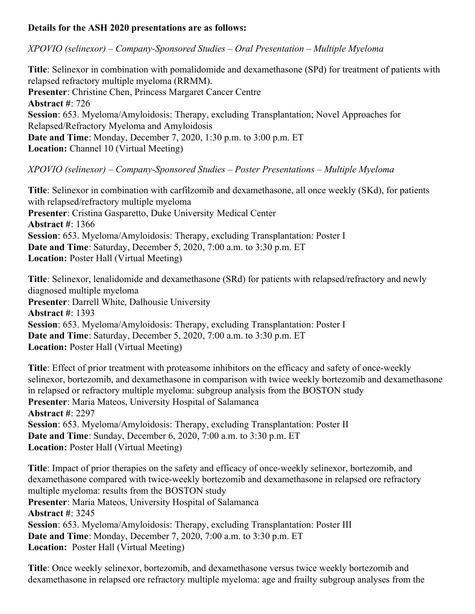#### **Details for the ASH 2020 presentations are as follows:**

*XPOVIO (selinexor) – Company-Sponsored Studies – Oral Presentation – Multiple Myeloma*

**Title**: Selinexor in combination with pomalidomide and dexamethasone (SPd) for treatment of patients with relapsed refractory multiple myeloma (RRMM). **Presenter**: Christine Chen, Princess Margaret Cancer Centre **Abstract #**: 726 **Session**: 653. Myeloma/Amyloidosis: Therapy, excluding Transplantation; Novel Approaches for Relapsed/Refractory Myeloma and Amyloidosis **Date and Time**: Monday, December 7, 2020, 1:30 p.m. to 3:00 p.m. ET **Location:** Channel 10 (Virtual Meeting)

*XPOVIO (selinexor) – Company-Sponsored Studies – Poster Presentations – Multiple Myeloma*

**Title**: Selinexor in combination with carfilzomib and dexamethasone, all once weekly (SKd), for patients with relapsed/refractory multiple myeloma **Presenter**: Cristina Gasparetto, Duke University Medical Center **Abstract #**: 1366 **Session**: 653. Myeloma/Amyloidosis: Therapy, excluding Transplantation: Poster I **Date and Time**: Saturday, December 5, 2020, 7:00 a.m. to 3:30 p.m. ET **Location:** Poster Hall (Virtual Meeting)

**Title**: Selinexor, lenalidomide and dexamethasone (SRd) for patients with relapsed/refractory and newly diagnosed multiple myeloma **Presenter**: Darrell White, Dalhousie University **Abstract #**: 1393 **Session**: 653. Myeloma/Amyloidosis: Therapy, excluding Transplantation: Poster I **Date and Time**: Saturday, December 5, 2020, 7:00 a.m. to 3:30 p.m. ET **Location:** Poster Hall (Virtual Meeting)

**Title**: Effect of prior treatment with proteasome inhibitors on the efficacy and safety of once-weekly selinexor, bortezomib, and dexamethasone in comparison with twice weekly bortezomib and dexamethasone in relapsed or refractory multiple myeloma: subgroup analysis from the BOSTON study **Presenter**: Maria Mateos, University Hospital of Salamanca **Abstract #**: 2297 **Session**: 653. Myeloma/Amyloidosis: Therapy, excluding Transplantation: Poster II **Date and Time**: Sunday, December 6, 2020, 7:00 a.m. to 3:30 p.m. ET **Location:** Poster Hall (Virtual Meeting)

**Title**: Impact of prior therapies on the safety and efficacy of once-weekly selinexor, bortezomib, and dexamethasone compared with twice-weekly bortezomib and dexamethasone in relapsed ore refractory multiple myeloma: results from the BOSTON study **Presenter**: Maria Mateos, University Hospital of Salamanca **Abstract #**: 3245 **Session**: 653. Myeloma/Amyloidosis: Therapy, excluding Transplantation: Poster III **Date and Time**: Monday, December 7, 2020, 7:00 a.m. to 3:30 p.m. ET **Location:** Poster Hall (Virtual Meeting)

**Title**: Once weekly selinexor, bortezomib, and dexamethasone versus twice weekly bortezomib and dexamethasone in relapsed ore refractory multiple myeloma: age and frailty subgroup analyses from the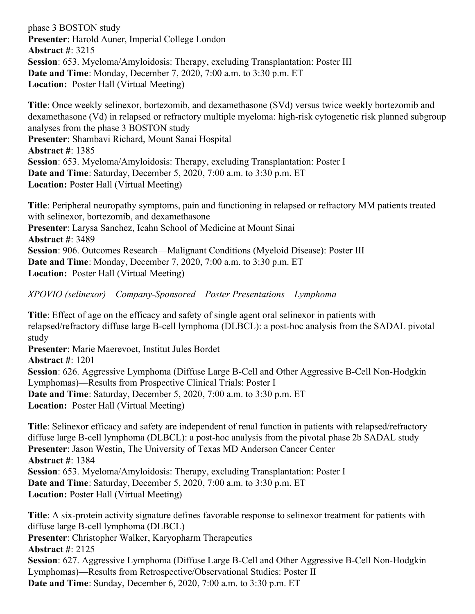phase 3 BOSTON study **Presenter**: Harold Auner, Imperial College London **Abstract #**: 3215 **Session**: 653. Myeloma/Amyloidosis: Therapy, excluding Transplantation: Poster III **Date and Time**: Monday, December 7, 2020, 7:00 a.m. to 3:30 p.m. ET **Location:** Poster Hall (Virtual Meeting)

**Title**: Once weekly selinexor, bortezomib, and dexamethasone (SVd) versus twice weekly bortezomib and dexamethasone (Vd) in relapsed or refractory multiple myeloma: high-risk cytogenetic risk planned subgroup analyses from the phase 3 BOSTON study **Presenter**: Shambavi Richard, Mount Sanai Hospital **Abstract #**: 1385 **Session**: 653. Myeloma/Amyloidosis: Therapy, excluding Transplantation: Poster I **Date and Time**: Saturday, December 5, 2020, 7:00 a.m. to 3:30 p.m. ET **Location:** Poster Hall (Virtual Meeting)

**Title**: Peripheral neuropathy symptoms, pain and functioning in relapsed or refractory MM patients treated with selinexor, bortezomib, and dexamethasone **Presenter**: Larysa Sanchez, Icahn School of Medicine at Mount Sinai **Abstract #**: 3489 **Session**: 906. Outcomes Research—Malignant Conditions (Myeloid Disease): Poster III **Date and Time**: Monday, December 7, 2020, 7:00 a.m. to 3:30 p.m. ET **Location:** Poster Hall (Virtual Meeting)

*XPOVIO (selinexor) – Company-Sponsored – Poster Presentations – Lymphoma*

**Title**: Effect of age on the efficacy and safety of single agent oral selinexor in patients with relapsed/refractory diffuse large B-cell lymphoma (DLBCL): a post-hoc analysis from the SADAL pivotal study

**Presenter**: Marie Maerevoet, Institut Jules Bordet **Abstract #**: 1201 **Session**: 626. Aggressive Lymphoma (Diffuse Large B-Cell and Other Aggressive B-Cell Non-Hodgkin Lymphomas)—Results from Prospective Clinical Trials: Poster I **Date and Time**: Saturday, December 5, 2020, 7:00 a.m. to 3:30 p.m. ET **Location:** Poster Hall (Virtual Meeting)

**Title**: Selinexor efficacy and safety are independent of renal function in patients with relapsed/refractory diffuse large B-cell lymphoma (DLBCL): a post-hoc analysis from the pivotal phase 2b SADAL study **Presenter**: Jason Westin, The University of Texas MD Anderson Cancer Center **Abstract #**: 1384 **Session**: 653. Myeloma/Amyloidosis: Therapy, excluding Transplantation: Poster I **Date and Time**: Saturday, December 5, 2020, 7:00 a.m. to 3:30 p.m. ET **Location:** Poster Hall (Virtual Meeting)

**Title**: A six-protein activity signature defines favorable response to selinexor treatment for patients with diffuse large B-cell lymphoma (DLBCL) **Presenter**: Christopher Walker, Karyopharm Therapeutics **Abstract #**: 2125 **Session**: 627. Aggressive Lymphoma (Diffuse Large B-Cell and Other Aggressive B-Cell Non-Hodgkin Lymphomas)—Results from Retrospective/Observational Studies: Poster II **Date and Time**: Sunday, December 6, 2020, 7:00 a.m. to 3:30 p.m. ET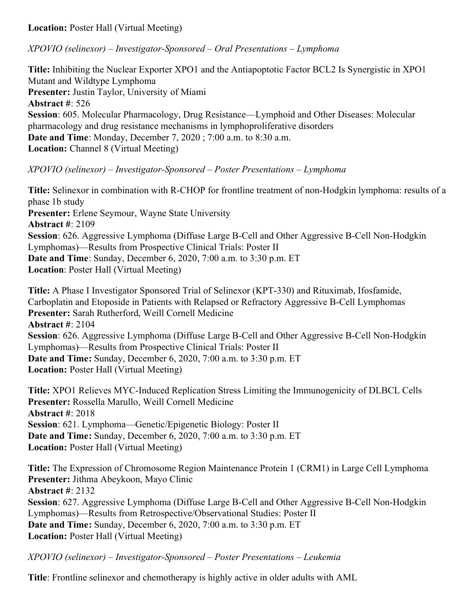**Location:** Poster Hall (Virtual Meeting)

*XPOVIO (selinexor) – Investigator-Sponsored – Oral Presentations – Lymphoma*

**Title:** Inhibiting the Nuclear Exporter XPO1 and the Antiapoptotic Factor BCL2 Is Synergistic in XPO1 Mutant and Wildtype Lymphoma **Presenter:** Justin Taylor, University of Miami **Abstract #**: 526 **Session**: 605. Molecular Pharmacology, Drug Resistance—Lymphoid and Other Diseases: Molecular pharmacology and drug resistance mechanisms in lymphoproliferative disorders **Date and Time**: Monday, December 7, 2020 ; 7:00 a.m. to 8:30 a.m. **Location:** Channel 8 (Virtual Meeting)

#### *XPOVIO (selinexor) – Investigator-Sponsored – Poster Presentations – Lymphoma*

**Title:** Selinexor in combination with R-CHOP for frontline treatment of non-Hodgkin lymphoma: results of a phase 1b study **Presenter:** Erlene Seymour, Wayne State University **Abstract #**: 2109 **Session**: 626. Aggressive Lymphoma (Diffuse Large B-Cell and Other Aggressive B-Cell Non-Hodgkin Lymphomas)—Results from Prospective Clinical Trials: Poster II **Date and Time**: Sunday, December 6, 2020, 7:00 a.m. to 3:30 p.m. ET **Location**: Poster Hall (Virtual Meeting)

**Title:** A Phase I Investigator Sponsored Trial of Selinexor (KPT-330) and Rituximab, Ifosfamide, Carboplatin and Etoposide in Patients with Relapsed or Refractory Aggressive B-Cell Lymphomas **Presenter:** Sarah Rutherford, Weill Cornell Medicine **Abstract #**: 2104 **Session**: 626. Aggressive Lymphoma (Diffuse Large B-Cell and Other Aggressive B-Cell Non-Hodgkin Lymphomas)—Results from Prospective Clinical Trials: Poster II **Date and Time:** Sunday, December 6, 2020, 7:00 a.m. to 3:30 p.m. ET **Location:** Poster Hall (Virtual Meeting)

**Title:** XPO1 Relieves MYC-Induced Replication Stress Limiting the Immunogenicity of DLBCL Cells **Presenter:** Rossella Marullo, Weill Cornell Medicine **Abstract #**: 2018 **Session**: 621. Lymphoma—Genetic/Epigenetic Biology: Poster II **Date and Time:** Sunday, December 6, 2020, 7:00 a.m. to 3:30 p.m. ET **Location:** Poster Hall (Virtual Meeting)

**Title:** The Expression of Chromosome Region Maintenance Protein 1 (CRM1) in Large Cell Lymphoma **Presenter:** Jithma Abeykoon, Mayo Clinic **Abstract #**: 2132 **Session**: 627. Aggressive Lymphoma (Diffuse Large B-Cell and Other Aggressive B-Cell Non-Hodgkin Lymphomas)—Results from Retrospective/Observational Studies: Poster II **Date and Time:** Sunday, December 6, 2020, 7:00 a.m. to 3:30 p.m. ET **Location:** Poster Hall (Virtual Meeting)

*XPOVIO (selinexor) – Investigator-Sponsored – Poster Presentations – Leukemia*

**Title**: Frontline selinexor and chemotherapy is highly active in older adults with AML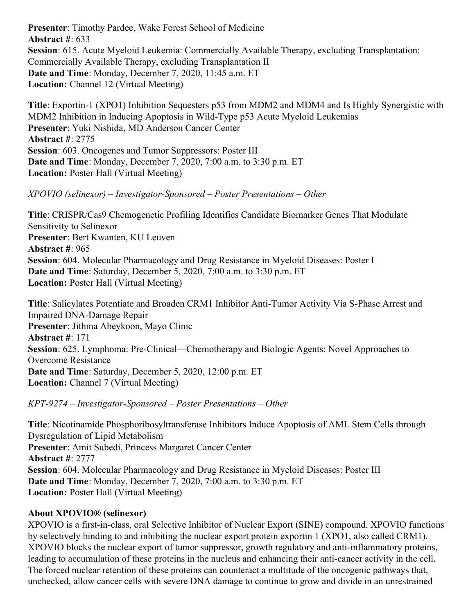**Presenter**: Timothy Pardee, Wake Forest School of Medicine **Abstract #**: 633 **Session**: 615. Acute Myeloid Leukemia: Commercially Available Therapy, excluding Transplantation: Commercially Available Therapy, excluding Transplantation II **Date and Time**: Monday, December 7, 2020, 11:45 a.m. ET **Location:** Channel 12 (Virtual Meeting)

**Title**: Exportin-1 (XPO1) Inhibition Sequesters p53 from MDM2 and MDM4 and Is Highly Synergistic with MDM2 Inhibition in Inducing Apoptosis in Wild-Type p53 Acute Myeloid Leukemias **Presenter**: Yuki Nishida, MD Anderson Cancer Center **Abstract #**: 2775 **Session**: 603. Oncogenes and Tumor Suppressors: Poster III **Date and Time**: Monday, December 7, 2020, 7:00 a.m. to 3:30 p.m. ET **Location:** Poster Hall (Virtual Meeting)

*XPOVIO (selinexor) – Investigator-Sponsored – Poster Presentations – Other*

**Title**: CRISPR/Cas9 Chemogenetic Profiling Identifies Candidate Biomarker Genes That Modulate Sensitivity to Selinexor **Presenter**: Bert Kwanten, KU Leuven **Abstract #**: 965 **Session**: 604. Molecular Pharmacology and Drug Resistance in Myeloid Diseases: Poster I **Date and Time**: Saturday, December 5, 2020, 7:00 a.m. to 3:30 p.m. ET **Location:** Poster Hall (Virtual Meeting)

**Title**: Salicylates Potentiate and Broaden CRM1 Inhibitor Anti-Tumor Activity Via S-Phase Arrest and Impaired DNA-Damage Repair **Presenter**: Jithma Abeykoon, Mayo Clinic **Abstract #**: 171 **Session**: 625. Lymphoma: Pre-Clinical—Chemotherapy and Biologic Agents: Novel Approaches to Overcome Resistance **Date and Time**: Saturday, December 5, 2020, 12:00 p.m. ET **Location:** Channel 7 (Virtual Meeting)

*KPT-9274 – Investigator-Sponsored – Poster Presentations – Other*

**Title**: Nicotinamide Phosphoribosyltransferase Inhibitors Induce Apoptosis of AML Stem Cells through Dysregulation of Lipid Metabolism **Presenter**: Amit Subedi, Princess Margaret Cancer Center **Abstract #**: 2777 **Session**: 604. Molecular Pharmacology and Drug Resistance in Myeloid Diseases: Poster III **Date and Time**: Monday, December 7, 2020, 7:00 a.m. to 3:30 p.m. ET **Location:** Poster Hall (Virtual Meeting)

#### **About XPOVIO® (selinexor)**

XPOVIO is a first-in-class, oral Selective Inhibitor of Nuclear Export (SINE) compound. XPOVIO functions by selectively binding to and inhibiting the nuclear export protein exportin 1 (XPO1, also called CRM1). XPOVIO blocks the nuclear export of tumor suppressor, growth regulatory and anti-inflammatory proteins, leading to accumulation of these proteins in the nucleus and enhancing their anti-cancer activity in the cell. The forced nuclear retention of these proteins can counteract a multitude of the oncogenic pathways that, unchecked, allow cancer cells with severe DNA damage to continue to grow and divide in an unrestrained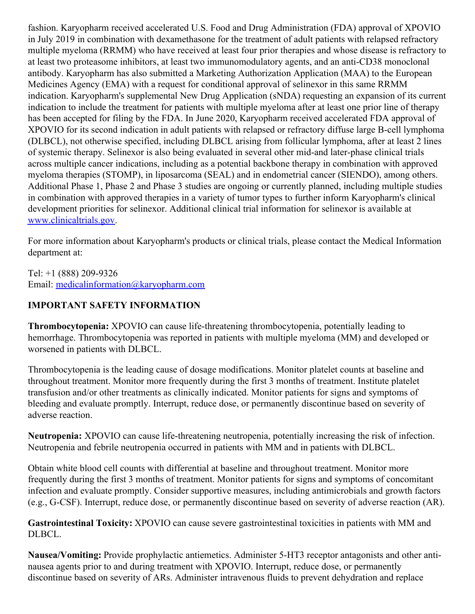fashion. Karyopharm received accelerated U.S. Food and Drug Administration (FDA) approval of XPOVIO in July 2019 in combination with dexamethasone for the treatment of adult patients with relapsed refractory multiple myeloma (RRMM) who have received at least four prior therapies and whose disease is refractory to at least two proteasome inhibitors, at least two immunomodulatory agents, and an anti-CD38 monoclonal antibody. Karyopharm has also submitted a Marketing Authorization Application (MAA) to the European Medicines Agency (EMA) with a request for conditional approval of selinexor in this same RRMM indication. Karyopharm's supplemental New Drug Application (sNDA) requesting an expansion of its current indication to include the treatment for patients with multiple myeloma after at least one prior line of therapy has been accepted for filing by the FDA. In June 2020, Karyopharm received accelerated FDA approval of XPOVIO for its second indication in adult patients with relapsed or refractory diffuse large B-cell lymphoma (DLBCL), not otherwise specified, including DLBCL arising from follicular lymphoma, after at least 2 lines of systemic therapy. Selinexor is also being evaluated in several other mid-and later-phase clinical trials across multiple cancer indications, including as a potential backbone therapy in combination with approved myeloma therapies (STOMP), in liposarcoma (SEAL) and in endometrial cancer (SIENDO), among others. Additional Phase 1, Phase 2 and Phase 3 studies are ongoing or currently planned, including multiple studies in combination with approved therapies in a variety of tumor types to further inform Karyopharm's clinical development priorities for selinexor. Additional clinical trial information for selinexor is available at [www.clinicaltrials.gov](https://c212.net/c/link/?t=0&l=en&o=2971480-1&h=2527184342&u=http%3A%2F%2Fwww.clinicaltrials.gov%2F&a=www.clinicaltrials.gov).

For more information about Karyopharm's products or clinical trials, please contact the Medical Information department at:

Tel: +1 (888) 209-9326 Email: [medicalinformation@karyopharm.com](mailto:medicalinformation@karyopharm.com)

## **IMPORTANT SAFETY INFORMATION**

**Thrombocytopenia:** XPOVIO can cause life-threatening thrombocytopenia, potentially leading to hemorrhage. Thrombocytopenia was reported in patients with multiple myeloma (MM) and developed or worsened in patients with DLBCL.

Thrombocytopenia is the leading cause of dosage modifications. Monitor platelet counts at baseline and throughout treatment. Monitor more frequently during the first 3 months of treatment. Institute platelet transfusion and/or other treatments as clinically indicated. Monitor patients for signs and symptoms of bleeding and evaluate promptly. Interrupt, reduce dose, or permanently discontinue based on severity of adverse reaction.

**Neutropenia:** XPOVIO can cause life-threatening neutropenia, potentially increasing the risk of infection. Neutropenia and febrile neutropenia occurred in patients with MM and in patients with DLBCL.

Obtain white blood cell counts with differential at baseline and throughout treatment. Monitor more frequently during the first 3 months of treatment. Monitor patients for signs and symptoms of concomitant infection and evaluate promptly. Consider supportive measures, including antimicrobials and growth factors (e.g., G-CSF). Interrupt, reduce dose, or permanently discontinue based on severity of adverse reaction (AR).

**Gastrointestinal Toxicity:** XPOVIO can cause severe gastrointestinal toxicities in patients with MM and DLBCL.

**Nausea/Vomiting:** Provide prophylactic antiemetics. Administer 5-HT3 receptor antagonists and other antinausea agents prior to and during treatment with XPOVIO. Interrupt, reduce dose, or permanently discontinue based on severity of ARs. Administer intravenous fluids to prevent dehydration and replace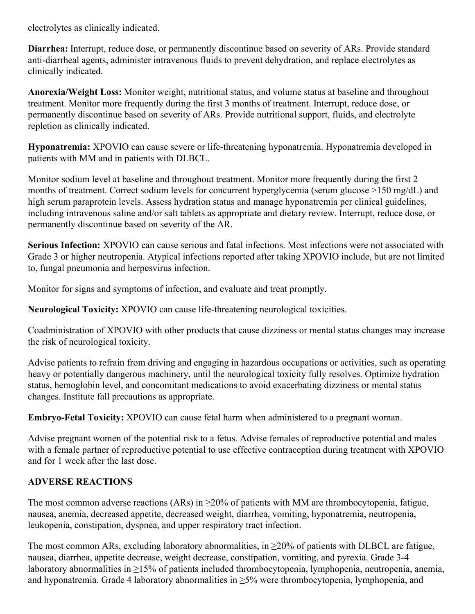electrolytes as clinically indicated.

**Diarrhea:** Interrupt, reduce dose, or permanently discontinue based on severity of ARs. Provide standard anti-diarrheal agents, administer intravenous fluids to prevent dehydration, and replace electrolytes as clinically indicated.

**Anorexia/Weight Loss:** Monitor weight, nutritional status, and volume status at baseline and throughout treatment. Monitor more frequently during the first 3 months of treatment. Interrupt, reduce dose, or permanently discontinue based on severity of ARs. Provide nutritional support, fluids, and electrolyte repletion as clinically indicated.

**Hyponatremia:** XPOVIO can cause severe or life-threatening hyponatremia. Hyponatremia developed in patients with MM and in patients with DLBCL.

Monitor sodium level at baseline and throughout treatment. Monitor more frequently during the first 2 months of treatment. Correct sodium levels for concurrent hyperglycemia (serum glucose >150 mg/dL) and high serum paraprotein levels. Assess hydration status and manage hyponatremia per clinical guidelines, including intravenous saline and/or salt tablets as appropriate and dietary review. Interrupt, reduce dose, or permanently discontinue based on severity of the AR.

**Serious Infection:** XPOVIO can cause serious and fatal infections. Most infections were not associated with Grade 3 or higher neutropenia. Atypical infections reported after taking XPOVIO include, but are not limited to, fungal pneumonia and herpesvirus infection.

Monitor for signs and symptoms of infection, and evaluate and treat promptly.

**Neurological Toxicity:** XPOVIO can cause life-threatening neurological toxicities.

Coadministration of XPOVIO with other products that cause dizziness or mental status changes may increase the risk of neurological toxicity.

Advise patients to refrain from driving and engaging in hazardous occupations or activities, such as operating heavy or potentially dangerous machinery, until the neurological toxicity fully resolves. Optimize hydration status, hemoglobin level, and concomitant medications to avoid exacerbating dizziness or mental status changes. Institute fall precautions as appropriate.

**Embryo-Fetal Toxicity:** XPOVIO can cause fetal harm when administered to a pregnant woman.

Advise pregnant women of the potential risk to a fetus. Advise females of reproductive potential and males with a female partner of reproductive potential to use effective contraception during treatment with XPOVIO and for 1 week after the last dose.

#### **ADVERSE REACTIONS**

The most common adverse reactions (ARs) in  $\geq$ 20% of patients with MM are thrombocytopenia, fatigue, nausea, anemia, decreased appetite, decreased weight, diarrhea, vomiting, hyponatremia, neutropenia, leukopenia, constipation, dyspnea, and upper respiratory tract infection.

The most common ARs, excluding laboratory abnormalities, in  $\geq$ 20% of patients with DLBCL are fatigue, nausea, diarrhea, appetite decrease, weight decrease, constipation, vomiting, and pyrexia. Grade 3-4 laboratory abnormalities in ≥15% of patients included thrombocytopenia, lymphopenia, neutropenia, anemia, and hyponatremia. Grade 4 laboratory abnormalities in  $\geq$ 5% were thrombocytopenia, lymphopenia, and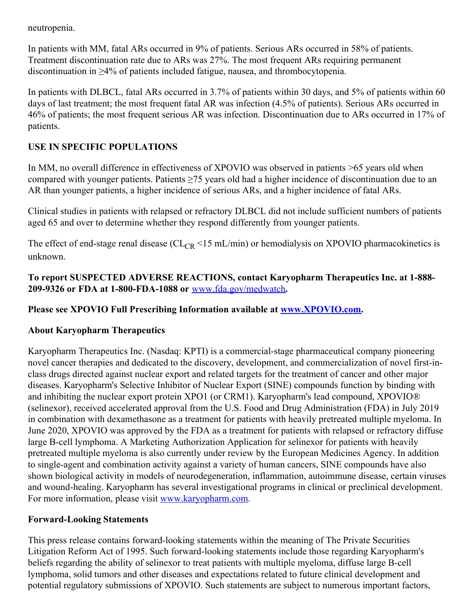neutropenia.

In patients with MM, fatal ARs occurred in 9% of patients. Serious ARs occurred in 58% of patients. Treatment discontinuation rate due to ARs was 27%. The most frequent ARs requiring permanent discontinuation in ≥4% of patients included fatigue, nausea, and thrombocytopenia.

In patients with DLBCL, fatal ARs occurred in 3.7% of patients within 30 days, and 5% of patients within 60 days of last treatment; the most frequent fatal AR was infection (4.5% of patients). Serious ARs occurred in 46% of patients; the most frequent serious AR was infection. Discontinuation due to ARs occurred in 17% of patients.

## **USE IN SPECIFIC POPULATIONS**

In MM, no overall difference in effectiveness of XPOVIO was observed in patients >65 years old when compared with younger patients. Patients ≥75 years old had a higher incidence of discontinuation due to an AR than younger patients, a higher incidence of serious ARs, and a higher incidence of fatal ARs.

Clinical studies in patients with relapsed or refractory DLBCL did not include sufficient numbers of patients aged 65 and over to determine whether they respond differently from younger patients.

The effect of end-stage renal disease ( $CL_{CR}$  <15 mL/min) or hemodialysis on XPOVIO pharmacokinetics is unknown.

**To report SUSPECTED ADVERSE REACTIONS, contact Karyopharm Therapeutics Inc. at 1-888- 209-9326 or FDA at 1-800-FDA-1088 or** [www.fda.gov/medwatch](https://c212.net/c/link/?t=0&l=en&o=2971480-1&h=3624104030&u=http%3A%2F%2Fwww.fda.gov%2Fmedwatch&a=www.fda.gov%2Fmedwatch)**.**

### **Please see XPOVIO Full Prescribing Information available at [www.XPOVIO.com](https://c212.net/c/link/?t=0&l=en&o=2971480-1&h=941363240&u=http%3A%2F%2Fwww.xpovio.com%2F&a=www.XPOVIO.com).**

#### **About Karyopharm Therapeutics**

Karyopharm Therapeutics Inc. (Nasdaq: KPTI) is a commercial-stage pharmaceutical company pioneering novel cancer therapies and dedicated to the discovery, development, and commercialization of novel first-inclass drugs directed against nuclear export and related targets for the treatment of cancer and other major diseases. Karyopharm's Selective Inhibitor of Nuclear Export (SINE) compounds function by binding with and inhibiting the nuclear export protein XPO1 (or CRM1). Karyopharm's lead compound, XPOVIO® (selinexor), received accelerated approval from the U.S. Food and Drug Administration (FDA) in July 2019 in combination with dexamethasone as a treatment for patients with heavily pretreated multiple myeloma. In June 2020, XPOVIO was approved by the FDA as a treatment for patients with relapsed or refractory diffuse large B-cell lymphoma. A Marketing Authorization Application for selinexor for patients with heavily pretreated multiple myeloma is also currently under review by the European Medicines Agency. In addition to single-agent and combination activity against a variety of human cancers, SINE compounds have also shown biological activity in models of neurodegeneration, inflammation, autoimmune disease, certain viruses and wound-healing. Karyopharm has several investigational programs in clinical or preclinical development. For more information, please visit [www.karyopharm.com](https://c212.net/c/link/?t=0&l=en&o=2971480-1&h=2994116068&u=http%3A%2F%2Fwww.karyopharm.com%2F&a=www.karyopharm.com).

#### **Forward-Looking Statements**

This press release contains forward-looking statements within the meaning of The Private Securities Litigation Reform Act of 1995. Such forward-looking statements include those regarding Karyopharm's beliefs regarding the ability of selinexor to treat patients with multiple myeloma, diffuse large B-cell lymphoma, solid tumors and other diseases and expectations related to future clinical development and potential regulatory submissions of XPOVIO. Such statements are subject to numerous important factors,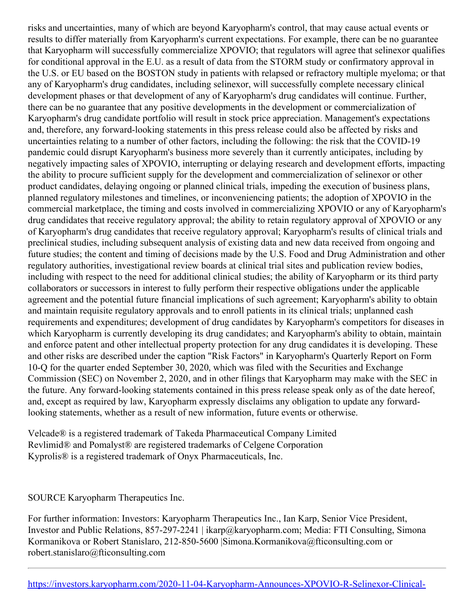risks and uncertainties, many of which are beyond Karyopharm's control, that may cause actual events or results to differ materially from Karyopharm's current expectations. For example, there can be no guarantee that Karyopharm will successfully commercialize XPOVIO; that regulators will agree that selinexor qualifies for conditional approval in the E.U. as a result of data from the STORM study or confirmatory approval in the U.S. or EU based on the BOSTON study in patients with relapsed or refractory multiple myeloma; or that any of Karyopharm's drug candidates, including selinexor, will successfully complete necessary clinical development phases or that development of any of Karyopharm's drug candidates will continue. Further, there can be no guarantee that any positive developments in the development or commercialization of Karyopharm's drug candidate portfolio will result in stock price appreciation. Management's expectations and, therefore, any forward-looking statements in this press release could also be affected by risks and uncertainties relating to a number of other factors, including the following: the risk that the COVID-19 pandemic could disrupt Karyopharm's business more severely than it currently anticipates, including by negatively impacting sales of XPOVIO, interrupting or delaying research and development efforts, impacting the ability to procure sufficient supply for the development and commercialization of selinexor or other product candidates, delaying ongoing or planned clinical trials, impeding the execution of business plans, planned regulatory milestones and timelines, or inconveniencing patients; the adoption of XPOVIO in the commercial marketplace, the timing and costs involved in commercializing XPOVIO or any of Karyopharm's drug candidates that receive regulatory approval; the ability to retain regulatory approval of XPOVIO or any of Karyopharm's drug candidates that receive regulatory approval; Karyopharm's results of clinical trials and preclinical studies, including subsequent analysis of existing data and new data received from ongoing and future studies; the content and timing of decisions made by the U.S. Food and Drug Administration and other regulatory authorities, investigational review boards at clinical trial sites and publication review bodies, including with respect to the need for additional clinical studies; the ability of Karyopharm or its third party collaborators or successors in interest to fully perform their respective obligations under the applicable agreement and the potential future financial implications of such agreement; Karyopharm's ability to obtain and maintain requisite regulatory approvals and to enroll patients in its clinical trials; unplanned cash requirements and expenditures; development of drug candidates by Karyopharm's competitors for diseases in which Karyopharm is currently developing its drug candidates; and Karyopharm's ability to obtain, maintain and enforce patent and other intellectual property protection for any drug candidates it is developing. These and other risks are described under the caption "Risk Factors" in Karyopharm's Quarterly Report on Form 10-Q for the quarter ended September 30, 2020, which was filed with the Securities and Exchange Commission (SEC) on November 2, 2020, and in other filings that Karyopharm may make with the SEC in the future. Any forward-looking statements contained in this press release speak only as of the date hereof, and, except as required by law, Karyopharm expressly disclaims any obligation to update any forwardlooking statements, whether as a result of new information, future events or otherwise.

Velcade® is a registered trademark of Takeda Pharmaceutical Company Limited Revlimid® and Pomalyst® are registered trademarks of Celgene Corporation Kyprolis® is a registered trademark of Onyx Pharmaceuticals, Inc.

SOURCE Karyopharm Therapeutics Inc.

For further information: Investors: Karyopharm Therapeutics Inc., Ian Karp, Senior Vice President, Investor and Public Relations, 857-297-2241 | ikarp@karyopharm.com; Media: FTI Consulting, Simona Kormanikova or Robert Stanislaro, 212-850-5600 |Simona.Kormanikova@fticonsulting.com or robert.stanislaro@fticonsulting.com